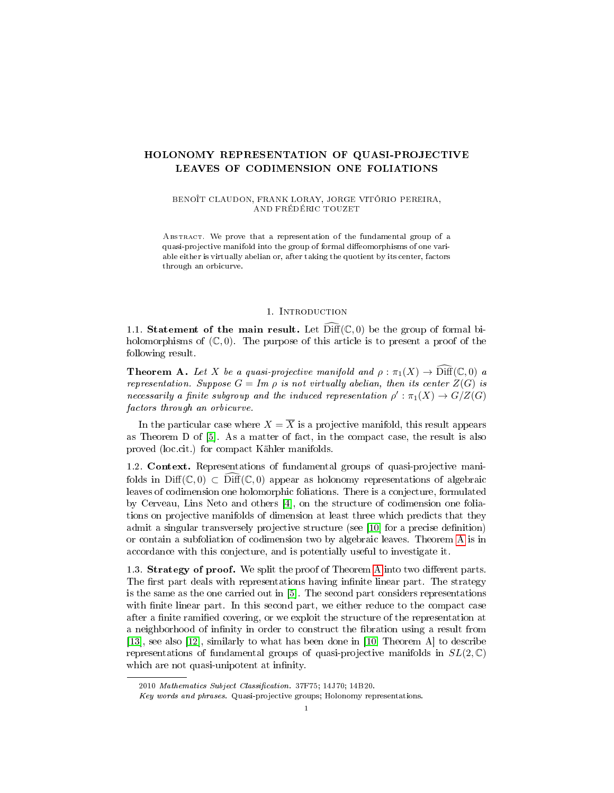# HOLONOMY REPRESENTATION OF QUASI-PROJECTIVE LEAVES OF CODIMENSION ONE FOLIATIONS

BENOÎT CLAUDON, FRANK LORAY, JORGE VITÓRIO PEREIRA, AND FRÉDÉRIC TOUZET

ABSTRACT. We prove that a representation of the fundamental group of a quasi-projective manifold into the group of formal diffeomorphisms of one variable either is virtually abelian or, after taking the quotient by its center, factors through an orbicurve.

#### 1. Introduction

1.1. Statement of the main result. Let  $\widehat{\text{Diff}}(\mathbb{C},0)$  be the group of formal biholomorphisms of  $(\mathbb{C}, 0)$ . The purpose of this article is to present a proof of the following result.

<span id="page-0-0"></span>**Theorem A.** Let X be a quasi-projective manifold and  $\rho : \pi_1(X) \to \text{Diff}(\mathbb{C},0)$  a representation. Suppose  $G = Im \, \rho$  is not virtually abelian, then its center  $Z(G)$  is necessarily a finite subgroup and the induced representation  $\rho': \pi_1(X) \to G/Z(G)$ factors through an orbicurve.

In the particular case where  $X = \overline{X}$  is a projective manifold, this result appears as Theorem D of [\[5\]](#page-7-0). As a matter of fact, in the compact case, the result is also proved (loc.cit.) for compact Kähler manifolds.

1.2. Context. Representations of fundamental groups of quasi-projective manifolds in Diff( $\mathbb{C}, 0$ )  $\subset$  Diff( $\mathbb{C}, 0$ ) appear as holonomy representations of algebraic leaves of codimension one holomorphic foliations. There is a conjecture, formulated by Cerveau, Lins Neto and others [\[4\]](#page-7-1), on the structure of codimension one foliations on projective manifolds of dimension at least three which predicts that they admit a singular transversely projective structure (see [\[10\]](#page-7-2) for a precise definition) or contain a subfoliation of codimension two by algebraic leaves. Theorem [A](#page-0-0) is in accordance with this conjecture, and is potentially useful to investigate it.

1.3. Strategy of proof. We split the proof of Theorem [A](#page-0-0) into two different parts. The first part deals with representations having infinite linear part. The strategy is the same as the one carried out in [\[5\]](#page-7-0). The second part considers representations with finite linear part. In this second part, we either reduce to the compact case after a finite ramified covering, or we exploit the structure of the representation at a neighborhood of infinity in order to construct the fibration using a result from [\[13\]](#page-7-3), see also [\[12\]](#page-7-4), similarly to what has been done in [\[10,](#page-7-2) Theorem A] to describe representations of fundamental groups of quasi-projective manifolds in  $SL(2,\mathbb{C})$ which are not quasi-unipotent at infinity.

<sup>2010</sup> Mathematics Subject Classification. 37F75; 14J70; 14B20.

Key words and phrases. Quasi-projective groups; Holonomy representations.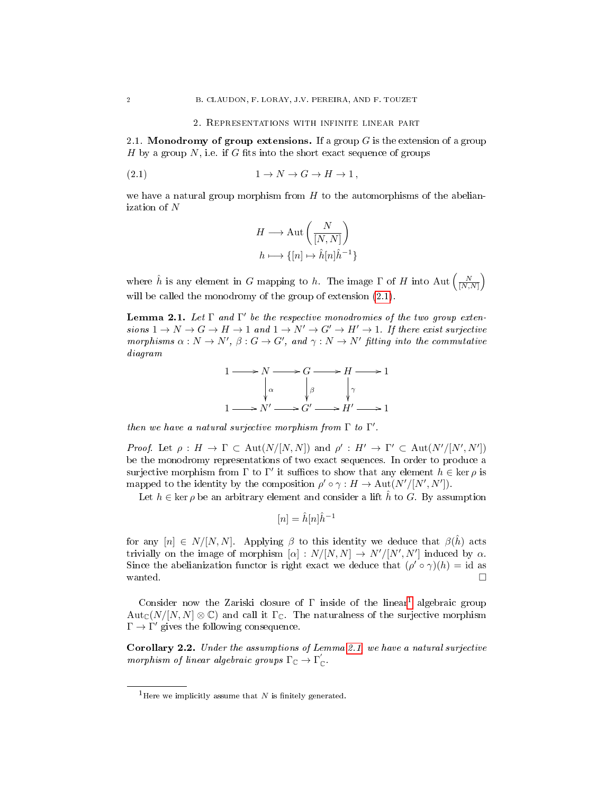### 2. Representations with infinite linear part

2.1. Monodromy of group extensions. If a group  $G$  is the extension of a group H by a group N, i.e. if G fits into the short exact sequence of groups

$$
(2.1) \t 1 \to N \to G \to H \to 1,
$$

we have a natural group morphism from  $H$  to the automorphisms of the abelianization of N

<span id="page-1-0"></span>
$$
H \longrightarrow \text{Aut}\left(\frac{N}{[N,N]}\right)
$$

$$
h \longmapsto \{[n] \mapsto \hat{h}[n]\hat{h}^{-1}\}
$$

where  $\hat{h}$  is any element in G mapping to h. The image  $\Gamma$  of H into Aut  $\left(\frac{N}{[N,N]}\right)$ will be called the monodromy of the group of extension [\(2.1\)](#page-1-0).

<span id="page-1-2"></span>**Lemma 2.1.** Let  $\Gamma$  and  $\Gamma'$  be the respective monodromies of the two group extensions  $1 \to N \to G \to H \to 1$  and  $1 \to N' \to G' \to H' \to 1$ . If there exist surjective morphisms  $\alpha : N \to N'$ ,  $\beta : G \to G'$ , and  $\gamma : N \to N'$  fitting into the commutative diagram

$$
1 \longrightarrow N \longrightarrow G \longrightarrow H \longrightarrow 1
$$
  
\n
$$
\downarrow \alpha \qquad \qquad \downarrow \beta \qquad \qquad \downarrow \gamma
$$
  
\n
$$
1 \longrightarrow N' \longrightarrow G' \longrightarrow H' \longrightarrow 1
$$

then we have a natural surjective morphism from  $\Gamma$  to  $\Gamma'$ .

*Proof.* Let  $\rho: H \to \Gamma \subset \text{Aut}(N/[N,N])$  and  $\rho': H' \to \Gamma' \subset \text{Aut}(N'/[N',N'])$ be the monodromy representations of two exact sequences. In order to produce a surjective morphism from  $\Gamma$  to  $\Gamma'$  it suffices to show that any element  $h \in \text{ker } \rho$  is mapped to the identity by the composition  $\rho' \circ \gamma : H \to \text{Aut}(N'/[N', N'])$ .

Let  $h \in \text{ker } \rho$  be an arbitrary element and consider a lift  $\hat{h}$  to G. By assumption

$$
[n] = \hat{h}[n]\hat{h}^{-1}
$$

for any  $[n] \in N/[N, N]$ . Applying  $\beta$  to this identity we deduce that  $\beta(\hat{h})$  acts trivially on the image of morphism  $[\alpha]: N/[N, N] \to N'/[N', N']$  induced by  $\alpha$ . Since the abelianization functor is right exact we deduce that  $(\rho' \circ \gamma)(h) = id$  as wanted.  $\Box$ 

Consider now the Zariski closure of  $\Gamma$  inside of the linear<sup>[1](#page-1-1)</sup> algebraic group  $Aut_{\mathbb{C}}(N/[N,N] \otimes \mathbb{C})$  and call it  $\Gamma_{\mathbb{C}}$ . The naturalness of the surjective morphism  $\Gamma \to \Gamma'$  gives the following consequence.

<span id="page-1-3"></span>Corollary 2.2. Under the assumptions of Lemma [2.1,](#page-1-2) we have a natural surjective morphism of linear algebraic groups  $\Gamma_{\mathbb C}\to\Gamma_{\mathbb C}'$ .

<span id="page-1-1"></span><sup>&</sup>lt;sup>1</sup>Here we implicitly assume that N is finitely generated.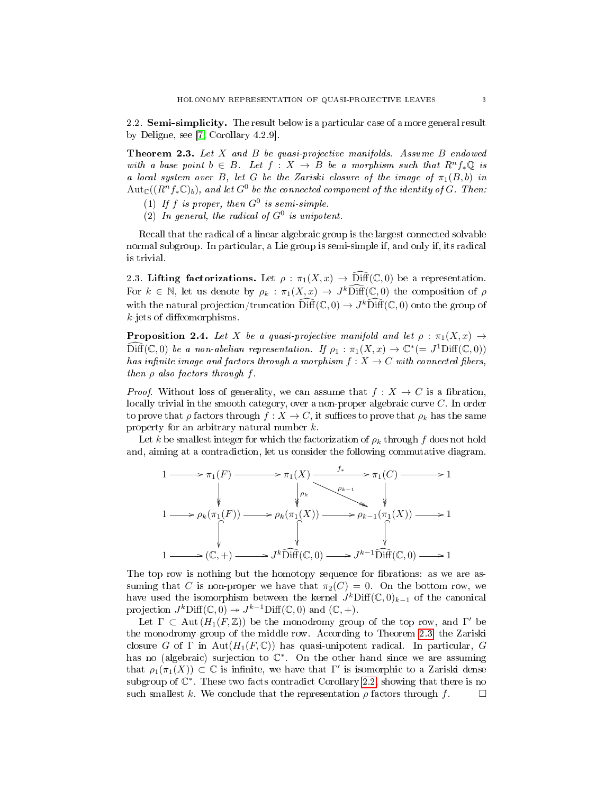2.2. Semi-simplicity. The result below is a particular case of a more general result by Deligne, see [\[7,](#page-7-5) Corollary 4.2.9].

<span id="page-2-0"></span>Theorem 2.3. Let X and B be quasi-projective manifolds. Assume B endowed with a base point  $b \in B$ . Let  $f : X \to B$  be a morphism such that  $R^n f_* \mathbb{Q}$  is a local system over B, let G be the Zariski closure of the image of  $\pi_1(B, b)$  in  $\mathrm{Aut}_\mathbb{C}((R^nf_*\mathbb{C})_b),$  and let  $G^0$  be the connected component of the identity of  $G$ . Then:

- (1) If f is proper, then  $G^0$  is semi-simple.
- (2) In general, the radical of  $G^0$  is unipotent.

Recall that the radical of a linear algebraic group is the largest connected solvable normal subgroup. In particular, a Lie group is semi-simple if, and only if, its radical is trivial.

2.3. Lifting factorizations. Let  $\rho : \pi_1(X, x) \to \widehat{\text{Diff}}(\mathbb{C}, 0)$  be a representation. For  $k \in \mathbb{N}$ , let us denote by  $\rho_k : \pi_1(X, x) \to J^k\widehat{\text{Diff}}(\mathbb{C}, 0)$  the composition of  $\rho$ with the natural projection/truncation  $\widehat{\text{Diff}}(\mathbb{C},0) \to J^k\widehat{\text{Diff}}(\mathbb{C},0)$  onto the group of  $k$ -jets of diffeomorphisms.

<span id="page-2-1"></span>**Proposition 2.4.** Let X be a quasi-projective manifold and let  $\rho : \pi_1(X, x) \rightarrow$  $\widehat{\text{Diff}}(\mathbb{C},0)$  be a non-abelian representation. If  $\rho_1: \pi_1(X,x) \to \mathbb{C}^* (= J^1\text{Diff}(\mathbb{C},0))$ has infinite image and factors through a morphism  $f : X \to C$  with connected fibers, then  $\rho$  also factors through f.

*Proof.* Without loss of generality, we can assume that  $f: X \to C$  is a fibration, locally trivial in the smooth category, over a non-proper algebraic curve C. In order to prove that  $\rho$  factors through  $f: X \to C$ , it suffices to prove that  $\rho_k$  has the same property for an arbitrary natural number k.

Let k be smallest integer for which the factorization of  $\rho_k$  through f does not hold and, aiming at a contradiction, let us consider the following commutative diagram.



The top row is nothing but the homotopy sequence for fibrations: as we are assuming that C is non-proper we have that  $\pi_2(C) = 0$ . On the bottom row, we have used the isomorphism between the kernel  $J^k$ Diff $(\mathbb{C}, 0)_{k-1}$  of the canonical projection  $J^k\mathrm{Diff}(\mathbb{C},0) \twoheadrightarrow J^{k-1}\mathrm{Diff}(\mathbb{C},0)$  and  $(\mathbb{C},+)$ .

Let  $\Gamma \subset \text{Aut}(H_1(F,\mathbb{Z}))$  be the monodromy group of the top row, and  $\Gamma'$  be the monodromy group of the middle row. According to Theorem [2.3,](#page-2-0) the Zariski closure G of  $\Gamma$  in Aut $(H_1(F, \mathbb{C}))$  has quasi-unipotent radical. In particular, G has no (algebraic) surjection to  $\mathbb{C}^*$ . On the other hand since we are assuming that  $\rho_1(\pi_1(X)) \subset \mathbb{C}$  is infinite, we have that  $\Gamma'$  is isomorphic to a Zariski dense subgroup of  $\mathbb{C}^*$ . These two facts contradict Corollary [2.2,](#page-1-3) showing that there is no such smallest k. We conclude that the representation  $\rho$  factors through f.  $\square$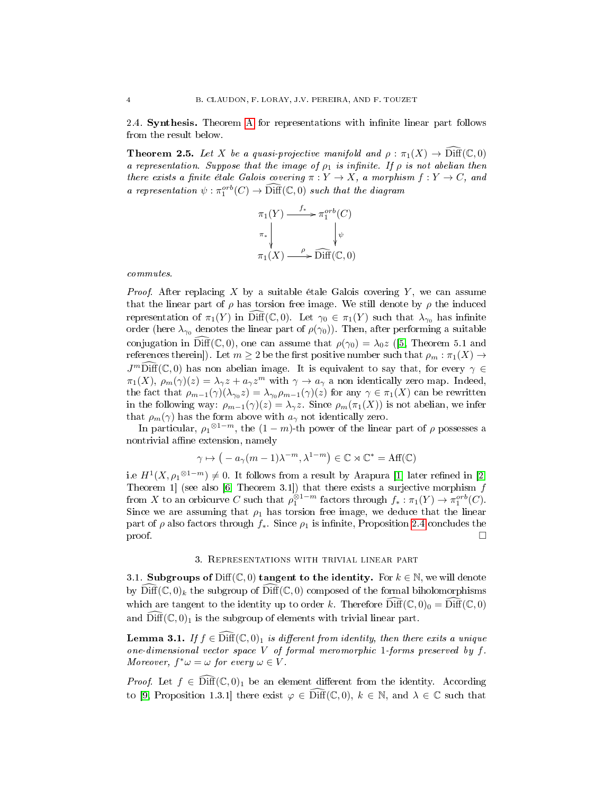2.4. **Synthesis.** Theorem [A](#page-0-0) for representations with infinite linear part follows from the result below.

<span id="page-3-1"></span>**Theorem 2.5.** Let X be a quasi-projective manifold and  $\rho : \pi_1(X) \to \widehat{\text{Diff}}(\mathbb{C},0)$ a representation. Suppose that the image of  $\rho_1$  is infinite. If  $\rho$  is not abelian then there exists a finite étale Galois covering  $\pi: Y \to X$ , a morphism  $f: Y \to C$ , and a representation  $\psi : \pi_1^{orb}(C) \to \widehat{\text{Diff}}(\mathbb{C},0)$  such that the diagram

$$
\pi_1(Y) \xrightarrow{f_*} \pi_1^{orb}(C)
$$
\n
$$
\pi_* \downarrow \qquad \qquad \downarrow \psi
$$
\n
$$
\pi_1(X) \xrightarrow{\rho} \widehat{\text{Diff}}(\mathbb{C}, 0)
$$

commutes.

*Proof.* After replacing X by a suitable étale Galois covering Y, we can assume that the linear part of  $\rho$  has torsion free image. We still denote by  $\rho$  the induced representation of  $\pi_1(Y)$  in Diff(C, 0). Let  $\gamma_0 \in \pi_1(Y)$  such that  $\lambda_{\gamma_0}$  has infinite order (here  $\lambda_{\gamma_0}$  denotes the linear part of  $\rho(\gamma_0)$ ). Then, after performing a suitable conjugation in  $\text{Diff}(\mathbb{C}, 0)$ , one can assume that  $\rho(\gamma_0) = \lambda_0 z$  ([\[5,](#page-7-0) Theorem 5.1 and references therein]). Let  $m \geq 2$  be the first positive number such that  $\rho_m : \pi_1(X) \to$  $J^m\widehat{\text{Diff}}(\mathbb C,0)$  has non abelian image. It is equivalent to say that, for every  $\gamma \in$  $\pi_1(X)$ ,  $\rho_m(\gamma)(z) = \lambda_\gamma z + a_\gamma z^m$  with  $\gamma \to a_\gamma$  a non identically zero map. Indeed, the fact that  $\rho_{m-1}(\gamma)(\lambda_{\gamma_0}z)=\lambda_{\gamma_0}\rho_{m-1}(\gamma)(z)$  for any  $\gamma\in\pi_1(X)$  can be rewritten in the following way:  $\rho_{m-1}(\gamma)(z) = \lambda_{\gamma} z$ . Since  $\rho_m(\pi_1(X))$  is not abelian, we infer that  $\rho_m(\gamma)$  has the form above with  $a_\gamma$  not identically zero.

In particular,  $\rho_1^{\otimes 1-m}$ , the  $(1-m)$ -th power of the linear part of  $\rho$  possesses a nontrivial affine extension, namely

$$
\gamma \mapsto \big(-a_{\gamma}(m-1)\lambda^{-m}, \lambda^{1-m}\big) \in \mathbb{C} \rtimes \mathbb{C}^* = \text{Aff}(\mathbb{C})
$$

i.e  $H^1(X, \rho_1^{\otimes 1-m}) \neq 0$ . It follows from a result by Arapura [\[1\]](#page-7-6) later refined in [\[2,](#page-7-7) Theorem 1] (see also [\[6,](#page-7-8) Theorem 3.1]) that there exists a surjective morphism  $f$ from X to an orbicurve C such that  $\rho_1^{\otimes 1-m}$  factors through  $f_* : \pi_1(Y) \to \pi_1^{orb}(C)$ . Since we are assuming that  $\rho_1$  has torsion free image, we deduce that the linear part of  $\rho$  also factors through  $f_*$ . Since  $\rho_1$  is infinite, Proposition [2.4](#page-2-1) concludes the  $\Box$ 

#### 3. Representations with trivial linear part

3.1. Subgroups of Diff( $\mathbb{C}, 0$ ) tangent to the identity. For  $k \in \mathbb{N}$ , we will denote by  $\text{Diff}(\mathbb{C}, 0)_k$  the subgroup of  $\text{Diff}(\mathbb{C}, 0)$  composed of the formal biholomorphisms which are tangent to the identity up to order k. Therefore  $\widehat{\text{Diff}}(\mathbb{C},0)_0 = \widehat{\text{Diff}}(\mathbb{C},0)$ and  $\widehat{\text{Diff}}(\mathbb{C}, 0)_1$  is the subgroup of elements with trivial linear part.

<span id="page-3-0"></span>**Lemma 3.1.** If  $f \in \widehat{\text{Diff}}(\mathbb{C},0)_1$  is different from identity, then there exits a unique one-dimensional vector space V of formal meromorphic 1-forms preserved by  $f$ . Moreover,  $f^*\omega = \omega$  for every  $\omega \in V$ .

*Proof.* Let  $f \in \overline{\text{Diff}}(\mathbb{C},0)_1$  be an element different from the identity. According to [\[9,](#page-7-9) Proposition 1.3.1] there exist  $\varphi \in \widehat{\text{Diff}}(\mathbb{C},0)$ ,  $k \in \mathbb{N}$ , and  $\lambda \in \mathbb{C}$  such that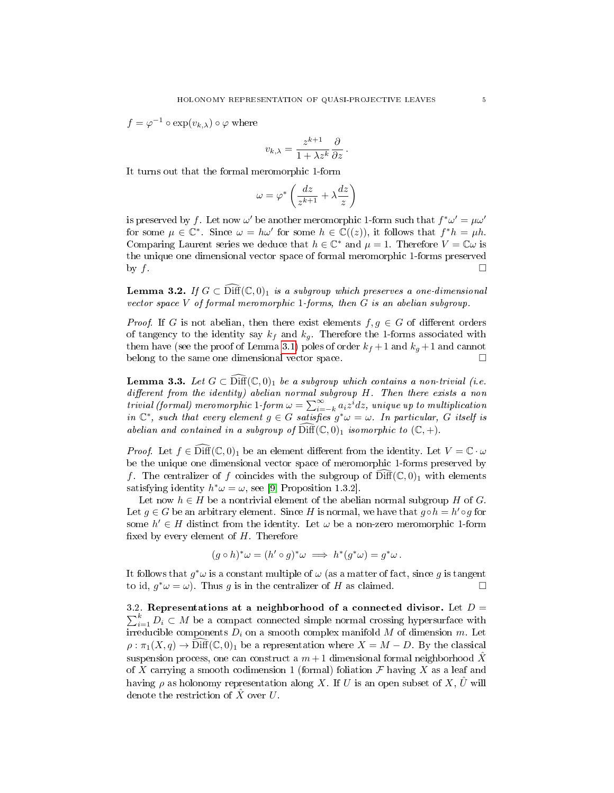$f = \varphi^{-1} \circ \exp(v_{k,\lambda}) \circ \varphi$  where

$$
v_{k,\lambda} = \frac{z^{k+1}}{1 + \lambda z^k} \frac{\partial}{\partial z}.
$$

It turns out that the formal meromorphic 1-form

$$
\omega = \varphi^* \left( \frac{dz}{z^{k+1}} + \lambda \frac{dz}{z} \right)
$$

is preserved by f. Let now  $\omega'$  be another meromorphic 1-form such that  $f^*\omega' = \mu\omega'$ for some  $\mu \in \mathbb{C}^*$ . Since  $\omega = h\omega'$  for some  $h \in \mathbb{C}((z))$ , it follows that  $f^*h = \mu h$ . Comparing Laurent series we deduce that  $h \in \mathbb{C}^*$  and  $\mu = 1$ . Therefore  $V = \mathbb{C} \omega$  is the unique one dimensional vector space of formal meromorphic 1-forms preserved by  $f$ .

<span id="page-4-1"></span>**Lemma 3.2.** If  $G \subset \text{Diff}(\mathbb{C}, 0)_1$  is a subgroup which preserves a one-dimensional vector space  $V$  of formal meromorphic 1-forms, then  $G$  is an abelian subgroup.

*Proof.* If G is not abelian, then there exist elements  $f, g \in G$  of different orders of tangency to the identity say  $k_f$  and  $k_g$ . Therefore the 1-forms associated with them have (see the proof of Lemma [3.1\)](#page-3-0) poles of order  $k_f + 1$  and  $k_g + 1$  and cannot belong to the same one dimensional vector space.

<span id="page-4-0"></span>**Lemma 3.3.** Let  $G \subset \text{Diff}(\mathbb{C}, 0)_1$  be a subgroup which contains a non-trivial (i.e. different from the identity) abelian normal subgroup  $H$ . Then there exists a non trivial (formal) meromorphic 1-form  $\omega = \sum_{i=-k}^{\infty} a_i z^i dz$ , unique up to multiplication in  $\mathbb{C}^*$ , such that every element  $g \in G$  satisfies  $g^*\omega = \omega$ . In particular, G itself is abelian and contained in a subgroup of  $\widehat{\text{Diff}}(\mathbb{C}, 0)_1$  isomorphic to  $(\mathbb{C}, +)$ .

*Proof.* Let  $f \in \text{Diff}(\mathbb{C},0)_1$  be an element different from the identity. Let  $V = \mathbb{C} \cdot \omega$ be the unique one dimensional vector space of meromorphic 1-forms preserved by f. The centralizer of f coincides with the subgroup of  $\text{Diff}(\mathbb{C}, 0)_1$  with elements satisfying identity  $h^*\omega = \omega$ , see [\[9,](#page-7-9) Proposition 1.3.2].

Let now  $h \in H$  be a nontrivial element of the abelian normal subgroup H of G. Let  $g \in G$  be an arbitrary element. Since H is normal, we have that  $g \circ h = h' \circ g$  for some  $h' \in H$  distinct from the identity. Let  $\omega$  be a non-zero meromorphic 1-form fixed by every element of  $H$ . Therefore

$$
(g \circ h)^* \omega = (h' \circ g)^* \omega \implies h^*(g^* \omega) = g^* \omega.
$$

It follows that  $g^*\omega$  is a constant multiple of  $\omega$  (as a matter of fact, since g is tangent to id,  $g^*\omega = \omega$ ). Thus g is in the centralizer of H as claimed.

3.2. Representations at a neighborhood of a connected divisor. Let  $D =$  $\sum_{i=1}^{k} D_i \subset M$  be a compact connected simple normal crossing hypersurface with irreducible components  $D_i$  on a smooth complex manifold M of dimension m. Let  $\rho : \pi_1(X,q) \to \text{Diff}(\mathbb{C},0)_1$  be a representation where  $X = M - D$ . By the classical suspension process, one can construct a  $m+1$  dimensional formal neighborhood X of X carrying a smooth codimension 1 (formal) foliation  $\mathcal F$  having X as a leaf and having  $\rho$  as holonomy representation along X. If U is an open subset of X,  $\hat{U}$  will denote the restriction of  $\hat{X}$  over U.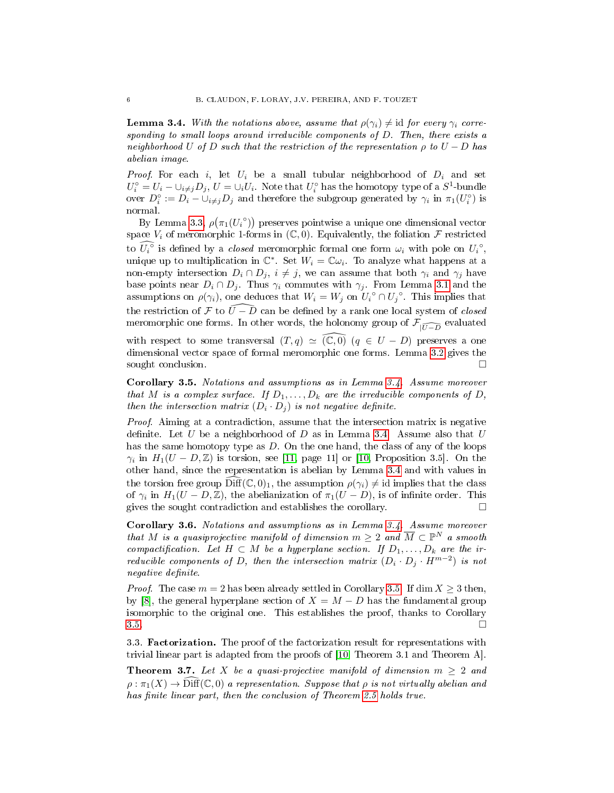<span id="page-5-0"></span>**Lemma 3.4.** With the notations above, assume that  $\rho(\gamma_i) \neq id$  for every  $\gamma_i$  corresponding to small loops around irreducible components of D. Then, there exists a neighborhood U of D such that the restriction of the representation  $\rho$  to  $U - D$  has abelian image.

*Proof.* For each i, let  $U_i$  be a small tubular neighborhood of  $D_i$  and set  $U_i^{\circ} = U_i - \cup_{i \neq j} D_j$ ,  $U = \cup_i U_i$ . Note that  $U_i^{\circ}$  has the homotopy type of a  $S^1$ -bundle over  $D_i^{\circ} := D_i - \bigcup_{i \neq j} D_j$  and therefore the subgroup generated by  $\gamma_i$  in  $\pi_1(U_i^{\circ})$  is normal.

By Lemma [3.3,](#page-4-0)  $\rho(\pi_1(U_i \circ))$  preserves pointwise a unique one dimensional vector space  $V_i$  of meromorphic 1-forms in  $(\mathbb{C}, 0)$ . Equivalently, the foliation  $\mathcal F$  restricted to  $\widehat{U_i^{\circ}}$  is defined by a *closed* meromorphic formal one form  $\omega_i$  with pole on  $U_i^{\circ}$ , unique up to multiplication in  $\mathbb{C}^*$ . Set  $W_i = \mathbb{C} \omega_i$ . To analyze what happens at a non-empty intersection  $D_i \cap D_j$ ,  $i \neq j$ , we can assume that both  $\gamma_i$  and  $\gamma_j$  have base points near  $D_i \cap D_j$ . Thus  $\gamma_i$  commutes with  $\gamma_j$ . From Lemma [3.1](#page-3-0) and the assumptions on  $\rho(\gamma_i)$ , one deduces that  $W_i = W_j$  on  $\overline{U_i}^\circ \cap U_j^\circ$ . This implies that the restriction of F to  $\widehat{U-D}$  can be defined by a rank one local system of *closed* meromorphic one forms. In other words, the holonomy group of  $\mathcal{F}_{|\widehat{U-D}}$  evaluated

with respect to some transversal  $(T, q) \simeq (\mathbb{C}, 0)$   $(q \in U - D)$  preserves a one dimensional vector space of formal meromorphic one forms. Lemma [3.2](#page-4-1) gives the sought conclusion.

<span id="page-5-1"></span>Corollary 3.5. Notations and assumptions as in Lemma [3.4.](#page-5-0) Assume moreover that M is a complex surface. If  $D_1, \ldots, D_k$  are the irreducible components of D, then the intersection matrix  $(D_i \cdot D_j)$  is not negative definite.

Proof. Aiming at a contradiction, assume that the intersection matrix is negative definite. Let U be a neighborhood of D as in Lemma [3.4.](#page-5-0) Assume also that  $U$ has the same homotopy type as  $D$ . On the one hand, the class of any of the loops  $\gamma_i$  in  $H_1(U - D, \mathbb{Z})$  is torsion, see [\[11,](#page-7-10) page 11] or [\[10,](#page-7-2) Proposition 3.5]. On the other hand, since the representation is abelian by Lemma [3.4](#page-5-0) and with values in the torsion free group  $\text{Diff}(\mathbb{C}, 0)_1$ , the assumption  $\rho(\gamma_i) \neq \text{id}$  implies that the class of  $\gamma_i$  in  $H_1(U - D, \mathbb{Z})$ , the abelianization of  $\pi_1(U - D)$ , is of infinite order. This gives the sought contradiction and establishes the corollary.

<span id="page-5-2"></span>Corollary 3.6. Notations and assumptions as in Lemma [3.4.](#page-5-0) Assume moreover that M is a quasiprojective manifold of dimension  $m\geq 2$  and  $\overline{M}\subset \mathbb{P}^N$  a smooth compactification. Let  $H \subset M$  be a hyperplane section. If  $D_1, \ldots, D_k$  are the irreducible components of D, then the intersection matrix  $(D_i \cdot D_j \cdot H^{m-2})$  is not negative definite.

*Proof.* The case  $m = 2$  has been already settled in Corollary [3.5.](#page-5-1) If dim  $X \ge 3$  then, by [\[8\]](#page-7-11), the general hyperplane section of  $X = M - D$  has the fundamental group isomorphic to the original one. This establishes the proof, thanks to Corollary  $3.5.$ 

3.3. Factorization. The proof of the factorization result for representations with trivial linear part is adapted from the proofs of [\[10,](#page-7-2) Theorem 3.1 and Theorem A].

<span id="page-5-3"></span>**Theorem 3.7.** Let X be a quasi-projective manifold of dimension  $m \geq 2$  and  $\rho : \pi_1(X) \to \text{Diff}(\mathbb{C},0)$  a representation. Suppose that  $\rho$  is not virtually abelian and has finite linear part, then the conclusion of Theorem [2.5](#page-3-1) holds true.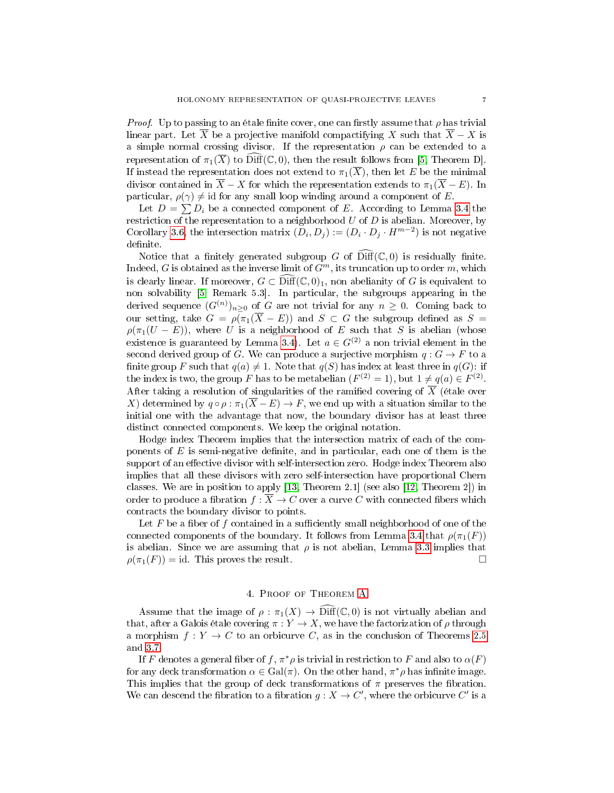*Proof.* Up to passing to an étale finite cover, one can firstly assume that  $\rho$  has trivial linear part. Let  $\overline{X}$  be a projective manifold compactifying X such that  $\overline{X} - X$  is a simple normal crossing divisor. If the representation  $\rho$  can be extended to a representation of  $\pi_1(\overline{X})$  to  $\widehat{\text{Diff}}(\mathbb{C}, 0)$ , then the result follows from [\[5,](#page-7-0) Theorem D]. If instead the representation does not extend to  $\pi_1(\overline{X})$ , then let E be the minimal divisor contained in  $\overline{X} - X$  for which the representation extends to  $\pi_1(\overline{X} - E)$ . In particular,  $\rho(\gamma) \neq id$  for any small loop winding around a component of E.

Let  $D = \sum D_i$  be a connected component of E. According to Lemma [3.4](#page-5-0) the restriction of the representation to a neighborhood  $U$  of  $D$  is abelian. Moreover, by Corollary [3.6,](#page-5-2) the intersection matrix  $(D_i, D_j) := (D_i \cdot D_j \cdot H^{m-2})$  is not negative definite.

Notice that a finitely generated subgroup G of  $\text{Diff}(\mathbb{C}, 0)$  is residually finite. Indeed, G is obtained as the inverse limit of  $G<sup>m</sup>$ , its truncation up to order m, which is clearly linear. If moreover,  $G \subset \text{Diff}(\mathbb{C},0)_1$ , non abelianity of G is equivalent to non solvability [\[5,](#page-7-0) Remark 5.3]. In particular, the subgroups appearing in the derived sequence  $(G^{(n)})_{n\geq 0}$  of G are not trivial for any  $n\geq 0$ . Coming back to our setting, take  $G = \rho(\pi_1(\overline{X} - E))$  and  $S \subset G$  the subgroup defined as  $S =$  $\rho(\pi_1(U - E))$ , where U is a neighborhood of E such that S is abelian (whose existence is guaranteed by Lemma [3.4\)](#page-5-0). Let  $a \in G^{(2)}$  a non trivial element in the second derived group of G. We can produce a surjective morphism  $q: G \to F$  to a finite group F such that  $q(a) \neq 1$ . Note that  $q(S)$  has index at least three in  $q(G)$ : if the index is two, the group F has to be metabelian  $(F^{(2)} = 1)$ , but  $1 \neq q(a) \in F^{(2)}$ . After taking a resolution of singularities of the ramified covering of  $\overline{X}$  (étale over X) determined by  $q \circ \rho : \pi_1(\overline{X} - E) \to F$ , we end up with a situation similar to the initial one with the advantage that now, the boundary divisor has at least three distinct connected components. We keep the original notation.

Hodge index Theorem implies that the intersection matrix of each of the components of  $E$  is semi-negative definite, and in particular, each one of them is the support of an effective divisor with self-intersection zero. Hodge index Theorem also implies that all these divisors with zero self-intersection have proportional Chern classes. We are in position to apply [\[13,](#page-7-3) Theorem 2.1] (see also [\[12,](#page-7-4) Theorem 2]) in order to produce a fibration  $f : \overline{X} \to C$  over a curve C with connected fibers which contracts the boundary divisor to points.

Let  $F$  be a fiber of  $f$  contained in a sufficiently small neighborhood of one of the connected components of the boundary. It follows from Lemma [3.4](#page-5-0) that  $\rho(\pi_1(F))$ is abelian. Since we are assuming that  $\rho$  is not abelian, Lemma [3.3](#page-4-0) implies that  $\rho(\pi_1(F)) = \text{id}$ . This proves the result.

## 4. Proof of Theorem [A](#page-0-0)

Assume that the image of  $\rho : \pi_1(X) \to \widehat{\text{Diff}}(\mathbb{C},0)$  is not virtually abelian and that, after a Galois étale covering  $\pi: Y \to X$ , we have the factorization of  $\rho$  through a morphism  $f: Y \to C$  to an orbicurve C, as in the conclusion of Theorems [2.5](#page-3-1) and [3.7.](#page-5-3)

If F denotes a general fiber of f,  $\pi^*\rho$  is trivial in restriction to F and also to  $\alpha(F)$ for any deck transformation  $\alpha \in \text{Gal}(\pi)$ . On the other hand,  $\pi^* \rho$  has infinite image. This implies that the group of deck transformations of  $\pi$  preserves the fibration. We can descend the fibration to a fibration  $g: X \to C'$ , where the orbicurve C' is a